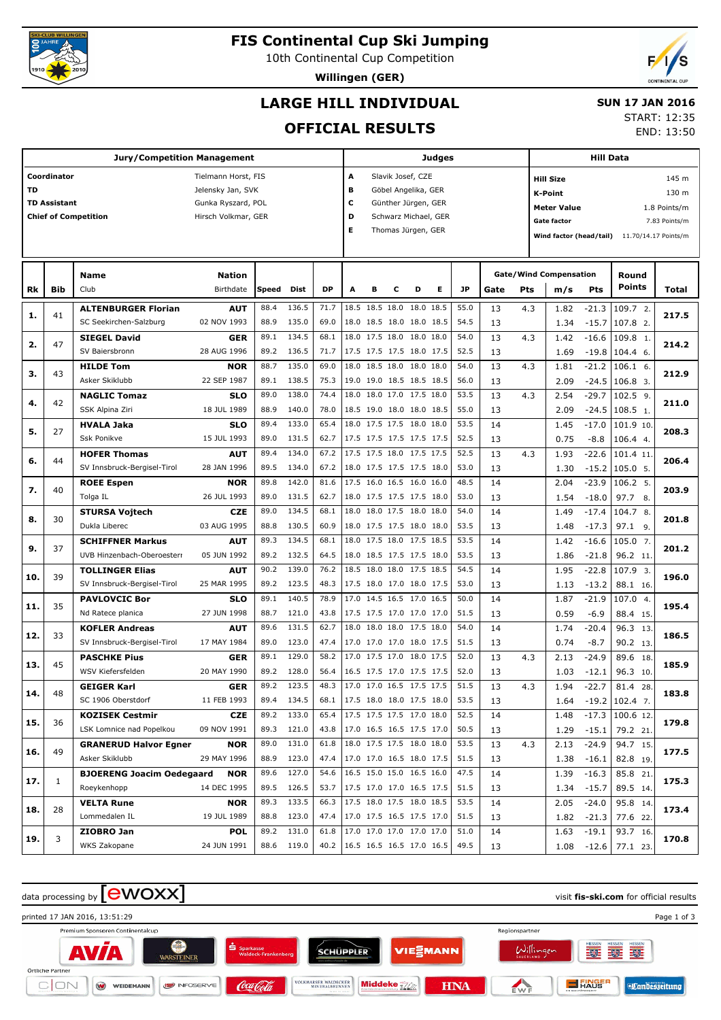

# **FIS Continental Cup Ski Jumping**

10th Continental Cup Competition

**Willingen (GER)**



## **LARGE HILL INDIVIDUAL**

#### **SUN 17 JAN 2016**

## **OFFICIAL RESULTS**

START: 12:35

END: 13:50

| <b>Jury/Competition Management</b> |                     |                                  |                           |              |                |              |        |   |   |                                                      | Judges |              |      |     | <b>Hill Data</b>                                                          |            |                   |                      |  |
|------------------------------------|---------------------|----------------------------------|---------------------------|--------------|----------------|--------------|--------|---|---|------------------------------------------------------|--------|--------------|------|-----|---------------------------------------------------------------------------|------------|-------------------|----------------------|--|
|                                    | Coordinator         |                                  | Tielmann Horst, FIS       |              |                |              | A      |   |   | Slavik Josef, CZE                                    |        |              |      |     | <b>Hill Size</b>                                                          |            |                   | 145 m                |  |
| TD                                 |                     |                                  | Jelensky Jan, SVK         |              |                |              | в      |   |   | Göbel Angelika, GER                                  |        |              |      |     | K-Point                                                                   |            |                   | 130 m                |  |
|                                    | <b>TD Assistant</b> |                                  | Gunka Ryszard, POL        |              |                |              | c<br>D |   |   | Günther Jürgen, GER                                  |        |              |      |     | <b>Meter Value</b><br>1.8 Points/m<br><b>Gate factor</b><br>7.83 Points/m |            |                   |                      |  |
|                                    |                     | <b>Chief of Competition</b>      | Hirsch Volkmar, GER       |              |                |              | Е      |   |   | Schwarz Michael, GER<br>Thomas Jürgen, GER           |        |              |      |     | Wind factor (head/tail)                                                   |            |                   |                      |  |
|                                    |                     |                                  |                           |              |                |              |        |   |   |                                                      |        |              |      |     |                                                                           |            |                   | 11.70/14.17 Points/m |  |
|                                    |                     |                                  |                           |              |                |              |        |   |   |                                                      |        |              |      |     |                                                                           |            |                   |                      |  |
|                                    |                     | Name                             | <b>Nation</b>             |              |                |              |        |   |   |                                                      |        |              |      |     | <b>Gate/Wind Compensation</b>                                             |            | Round             |                      |  |
| Rk                                 | Bib                 | Club                             | Birthdate                 | Speed        | Dist           | <b>DP</b>    | A      | в | c | D                                                    | Е      | <b>JP</b>    | Gate | Pts | m/s                                                                       | <b>Pts</b> | Points            | Total                |  |
| 1.                                 | 41                  | <b>ALTENBURGER Florian</b>       | <b>AUT</b>                | 88.4         | 136.5          | 71.7         |        |   |   | 18.5 18.5 18.0 18.0 18.5                             |        | 55.0         | 13   | 4.3 | 1.82                                                                      | $-21.3$    | 109.7 2.          | 217.5                |  |
|                                    |                     | SC Seekirchen-Salzburg           | 02 NOV 1993               | 88.9         | 135.0          | 69.0         |        |   |   | 18.0 18.5 18.0 18.0 18.5                             |        | 54.5         | 13   |     | 1.34                                                                      | $-15.7$    | 107.8 2.          |                      |  |
| 2.                                 | 47                  | <b>SIEGEL David</b>              | <b>GER</b>                | 89.1         | 134.5          | 68.1         |        |   |   | 18.0 17.5 18.0 18.0 18.0                             |        | 54.0         | 13   | 4.3 | 1.42                                                                      | $-16.6$    | 109.8 1.          | 214.2                |  |
|                                    |                     | SV Baiersbronn                   | 28 AUG 1996               | 89.2         | 136.5          | 71.7         |        |   |   | 17.5 17.5 17.5 18.0 17.5                             |        | 52.5         | 13   |     | 1.69                                                                      | $-19.8$    | 104.4 6.          |                      |  |
| з.                                 | 43                  | <b>HILDE Tom</b>                 | <b>NOR</b>                | 88.7         | 135.0          | 69.0         |        |   |   | 18.0 18.5 18.0 18.0 18.0                             |        | 54.0         | 13   | 4.3 | 1.81                                                                      | $-21.2$    | $106.1$ 6.        | 212.9                |  |
|                                    |                     | Asker Skiklubb                   | 22 SEP 1987               | 89.1         | 138.5          | 75.3         |        |   |   | 19.0 19.0 18.5 18.5 18.5                             |        | 56.0         | 13   |     | 2.09                                                                      | $-24.5$    | $106.8$ 3.        |                      |  |
| 4.                                 | 42                  | <b>NAGLIC Tomaz</b>              | <b>SLO</b>                | 89.0         | 138.0          | 74.4         |        |   |   | 18.0 18.0 17.0 17.5 18.0                             |        | 53.5         | 13   | 4.3 | 2.54                                                                      | $-29.7$    | 102.5 9.          | 211.0                |  |
|                                    |                     | SSK Alpina Ziri                  | 18 JUL 1989               | 88.9         | 140.0          | 78.0         |        |   |   | 18.5 19.0 18.0 18.0 18.5                             |        | 55.0         | 13   |     | 2.09                                                                      | $-24.5$    | 108.5 1.          |                      |  |
| 5.                                 | 27                  | <b>HVALA Jaka</b>                | <b>SLO</b>                | 89.4         | 133.0          | 65.4         |        |   |   | 18.0 17.5 17.5 18.0 18.0                             |        | 53.5         | 14   |     | 1.45                                                                      | $-17.0$    | 101.9 10.         | 208.3                |  |
|                                    |                     | <b>Ssk Ponikve</b>               | 15 JUL 1993               | 89.0         | 131.5          | 62.7         |        |   |   | 17.5 17.5 17.5 17.5 17.5                             |        | 52.5         | 13   |     | 0.75                                                                      | $-8.8$     | 106.4 4.          |                      |  |
| 6.                                 | 44                  | <b>HOFER Thomas</b>              | <b>AUT</b>                | 89.4         | 134.0          | 67.2         |        |   |   | 17.5 17.5 18.0 17.5 17.5                             |        | 52.5         | 13   | 4.3 | 1.93                                                                      | $-22.6$    | 101.4 11.         | 206.4                |  |
|                                    |                     | SV Innsbruck-Bergisel-Tirol      | 28 JAN 1996               | 89.5         | 134.0          | 67.2         |        |   |   | 18.0 17.5 17.5 17.5 18.0                             |        | 53.0         | 13   |     | 1.30                                                                      | $-15.2$    | 105.0 5.          |                      |  |
| 7.                                 | 40                  | <b>ROEE Espen</b>                | <b>NOR</b>                | 89.8         | 142.0          | 81.6         |        |   |   | 17.5 16.0 16.5 16.0 16.0                             |        | 48.5         | 14   |     | 2.04                                                                      | $-23.9$    | 106.2 5.          | 203.9                |  |
|                                    |                     | Tolga IL                         | 26 JUL 1993               | 89.0         | 131.5          | 62.7         |        |   |   | 18.0 17.5 17.5 17.5 18.0                             |        | 53.0         | 13   |     | 1.54                                                                      | $-18.0$    | 97.7<br>8.        |                      |  |
| 8.                                 | 30                  | <b>STURSA Vojtech</b>            | <b>CZE</b>                | 89.0         | 134.5          | 68.1         |        |   |   | 18.0 18.0 17.5 18.0 18.0                             |        | 54.0         | 14   |     | 1.49                                                                      | $-17.4$    | 104.7 8.          | 201.8                |  |
|                                    |                     | Dukla Liberec                    | 03 AUG 1995               | 88.8         | 130.5          | 60.9         |        |   |   | 18.0 17.5 17.5 18.0 18.0                             |        | 53.5         | 13   |     | 1.48                                                                      | $-17.3$    | 97.1 9.           |                      |  |
| 9.                                 | 37                  | <b>SCHIFFNER Markus</b>          | <b>AUT</b>                | 89.3         | 134.5          | 68.1         |        |   |   | 18.0 17.5 18.0 17.5 18.5                             |        | 53.5         | 14   |     | 1.42                                                                      | $-16.6$    | 105.0 7.          | 201.2                |  |
|                                    |                     | UVB Hinzenbach-Oberoesterr       | 05 JUN 1992               | 89.2         | 132.5          | 64.5         |        |   |   | 18.0 18.5 17.5 17.5 18.0                             |        | 53.5         | 13   |     | 1.86                                                                      | $-21.8$    | 96.2 11.          |                      |  |
| 10.                                | 39                  | <b>TOLLINGER Elias</b>           | <b>AUT</b>                | 90.2         | 139.0          | 76.2         |        |   |   | 18.5 18.0 18.0 17.5 18.5                             |        | 54.5         | 14   |     | 1.95                                                                      | $-22.8$    | 107.9 3.          | 196.0                |  |
|                                    |                     | SV Innsbruck-Bergisel-Tirol      | 25 MAR 1995               | 89.2         | 123.5          | 48.3         |        |   |   | 17.5 18.0 17.0 18.0 17.5                             |        | 53.0         | 13   |     | 1.13                                                                      | $-13.2$    | 88.1 16.          |                      |  |
| 11.                                | 35                  | <b>PAVLOVCIC Bor</b>             | <b>SLO</b>                | 89.1         | 140.5          | 78.9         |        |   |   | 17.0 14.5 16.5 17.0 16.5                             |        | 50.0         | 14   |     | 1.87                                                                      | $-21.9$    | 107.0 4.          | 195.4                |  |
|                                    |                     | Nd Ratece planica                | 27 JUN 1998               | 88.7         | 121.0          | 43.8         |        |   |   | 17.5 17.5 17.0 17.0 17.0                             |        | 51.5         | 13   |     | 0.59                                                                      | $-6.9$     | 88.4 15.          |                      |  |
| 12.                                | 33                  | <b>KOFLER Andreas</b>            | <b>AUT</b>                | 89.6         | 131.5          | 62.7         |        |   |   | 18.0 18.0 18.0 17.5 18.0                             |        | 54.0         | 14   |     | 1.74                                                                      | $-20.4$    | 96.3 13.          | 186.5                |  |
|                                    |                     | SV Innsbruck-Bergisel-Tirol      | 17 MAY 1984               | 89.0         | 123.0          | 47.4         |        |   |   | 17.0 17.0 17.0 18.0 17.5                             |        | 51.5         | 13   |     | 0.74                                                                      | $-8.7$     | 90.2 13.          |                      |  |
| 13.                                | 45                  | <b>PASCHKE Pius</b>              | GER                       | 89.1         | 129.0          | 58.2         |        |   |   | 17.0 17.5 17.0 18.0 17.5                             |        | 52.0         | 13   | 4.3 | 2.13                                                                      | $-24.9$    | 89.6 18.          | 185.9                |  |
|                                    |                     | WSV Kiefersfelden                | 20 MAY 1990               | 89.2         | 128.0          | 56.4         |        |   |   | 16.5 17.5 17.0 17.5 17.5                             |        | 52.0         | 13   |     | 1.03                                                                      | $-12.1$    | 96.3 10.          |                      |  |
| 14.                                | 48                  | <b>GEIGER Karl</b>               | GER                       | 89.2         | 123.5          | 48.3         |        |   |   | 17.0 17.0 16.5 17.5 17.5                             |        | 51.5         | 13   | 4.3 | 1.94                                                                      | $-22.7$    | 81.4<br>28.       | 183.8                |  |
|                                    |                     | SC 1906 Oberstdorf               | 11 FEB 1993               | 89.4         | 134.5          | 68.1         |        |   |   | 17.5 18.0 18.0 17.5 18.0                             |        | 53.5         | 13   |     | 1.64                                                                      |            | $-19.2$ 102.4 7.  |                      |  |
| 15.                                | 36                  | <b>KOZISEK Cestmir</b>           | <b>CZE</b>                | 89.2         | 133.0          | 65.4         |        |   |   | 17.5 17.5 17.5 17.0 18.0                             |        | 52.5         | 14   |     | 1.48                                                                      |            | $-17.3$ 100.6 12. | 179.8                |  |
|                                    |                     | LSK Lomnice nad Popelkou         | 09 NOV 1991               | 89.3         | 121.0          | 43.8         |        |   |   | 17.0 16.5 16.5 17.5 17.0                             |        | 50.5         | 13   |     | 1.29                                                                      | $-15.1$    | 79.2 21.          |                      |  |
| 16.                                | 49                  | <b>GRANERUD Halvor Egner</b>     | <b>NOR</b>                | 89.0         | 131.0          | 61.8         |        |   |   | 18.0 17.5 17.5 18.0 18.0                             |        | 53.5         | 13   | 4.3 | 2.13                                                                      | $-24.9$    | 94.7 15.          | 177.5                |  |
|                                    |                     | Asker Skiklubb                   | 29 MAY 1996               | 88.9         | 123.0          | 47.4         |        |   |   | 17.0 17.0 16.5 18.0 17.5<br>16.5 15.0 15.0 16.5 16.0 |        | 51.5         | 13   |     | 1.38                                                                      | $-16.1$    | 82.8 19.          |                      |  |
| 17.                                | 1                   | <b>BJOERENG Joacim Oedegaard</b> | <b>NOR</b><br>14 DEC 1995 | 89.6         | 127.0          | 54.6         |        |   |   |                                                      |        | 47.5         | 14   |     | 1.39                                                                      | $-16.3$    | 85.8 21.          | 175.3                |  |
|                                    |                     | Roeykenhopp                      |                           | 89.5<br>89.3 | 126.5<br>133.5 | 53.7<br>66.3 |        |   |   | 17.5 17.0 17.0 16.5 17.5<br>17.5 18.0 17.5 18.0 18.5 |        | 51.5<br>53.5 | 13   |     | 1.34                                                                      | $-15.7$    | 89.5 14.          |                      |  |
| 18.                                | 28                  | <b>VELTA Rune</b>                | NOR                       |              |                |              |        |   |   |                                                      |        |              | 14   |     | 2.05                                                                      | $-24.0$    | 95.8 14.          | 173.4                |  |
|                                    |                     | Lommedalen IL                    | 19 JUL 1989               | 88.8         | 123.0          | 47.4         |        |   |   | 17.0 17.5 16.5 17.5 17.0                             |        | 51.5         | 13   |     | 1.82                                                                      | $-21.3$    | 77.6 22.          |                      |  |
| 19.                                | 3                   | ZIOBRO Jan                       | <b>POL</b>                | 89.2         | 131.0          | 61.8         |        |   |   | 17.0 17.0 17.0 17.0 17.0                             |        | 51.0         | 14   |     | 1.63                                                                      | $-19.1$    | 93.7 16.          | 170.8                |  |
|                                    |                     | WKS Zakopane                     | 24 JUN 1991               |              | 88.6 119.0     | 40.2         |        |   |   | 16.5 16.5 16.5 17.0 16.5                             |        | 49.5         | 13   |     | 1.08                                                                      | $-12.6$    | 77.1 23.          |                      |  |

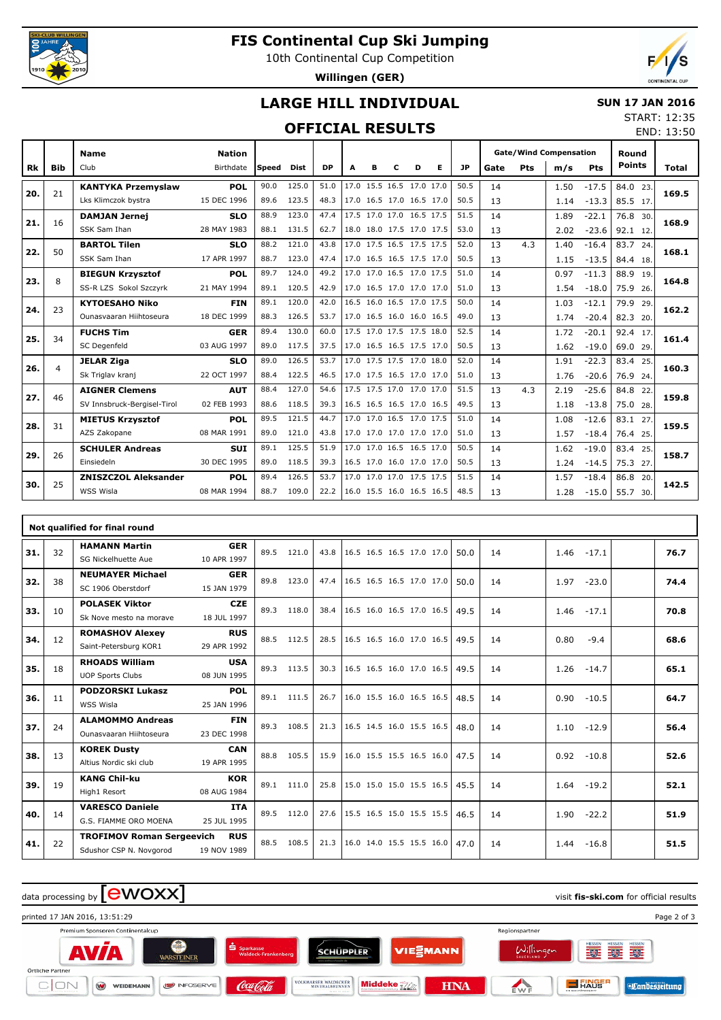

26

25

Einsiedeln

WSS Wisla

**SCHULER Andreas**

**ZNISZCZOL Aleksander**

**SUI** 30 DEC 1995

**POL** 08 MAR 1994

## **FIS Continental Cup Ski Jumping**

10th Continental Cup Competition

**Willingen (GER)**



## **LARGE HILL INDIVIDUAL**

#### **SUN 17 JAN 2016**

 1.62 1.24

 $1.57$ 1.28  $-19.0$ -14.5

 $-18.4$ 

 $83.4$  25.

 $-15.0$  55.7 30.

20.

 14 13

 14 13

89.0 118.5 39.3 16.5 17.0 16.0 17.0 17.0 50.5 13 1.24 -14.5 75.3 27.

89.4 126.5 53.7 17.0 17.0 17.0 17.5 17.5 51.5 14 1.57 -18.4 86.8

START: 12:35

### **OFFICIAL RESULTS**

|           |            |                             |               |       | UFFILIAL KESULIS |           |   |   |                          |   |   |           |      |     |                               |         |               | END: 13:50 |
|-----------|------------|-----------------------------|---------------|-------|------------------|-----------|---|---|--------------------------|---|---|-----------|------|-----|-------------------------------|---------|---------------|------------|
|           |            | <b>Name</b>                 | <b>Nation</b> |       |                  |           |   |   |                          |   |   |           |      |     | <b>Gate/Wind Compensation</b> |         | Round         |            |
| <b>Rk</b> | <b>Bib</b> | Club                        | Birthdate     | Speed | <b>Dist</b>      | <b>DP</b> | A | R | C                        | D | Е | <b>JP</b> | Gate | Pts | m/s                           | Pts     | <b>Points</b> | Total      |
|           |            | <b>KANTYKA Przemyslaw</b>   | <b>POL</b>    | 90.0  | 125.0            | 51.0      |   |   | 17.0 15.5 16.5 17.0 17.0 |   |   | 50.5      | 14   |     | 1.50                          | $-17.5$ | 84.0 23.      |            |
| 20.       | 21         | Lks Klimczok bystra         | 15 DEC 1996   | 89.6  | 123.5            | 48.3      |   |   | 17.0 16.5 17.0 16.5 17.0 |   |   | 50.5      | 13   |     | 1.14                          | $-13.3$ | 85.5 17.      | 169.5      |
| 21.       | 16         | <b>DAMJAN Jernej</b>        | <b>SLO</b>    | 88.9  | 123.0            | 47.4      |   |   | 17.5 17.0 17.0 16.5 17.5 |   |   | 51.5      | 14   |     | 1.89                          | $-22.1$ | 76.8 30.      | 168.9      |
|           |            | SSK Sam Ihan                | 28 MAY 1983   | 88.1  | 131.5            | 62.7      |   |   | 18.0 18.0 17.5 17.0 17.5 |   |   | 53.0      | 13   |     | 2.02                          | $-23.6$ | 92.1 12.      |            |
| 22.       | 50         | <b>BARTOL Tilen</b>         | <b>SLO</b>    | 88.2  | 121.0            | 43.8      |   |   | 17.0 17.5 16.5 17.5 17.5 |   |   | 52.0      | 13   | 4.3 | 1.40                          | $-16.4$ | 83.7 24.      | 168.1      |
|           |            | SSK Sam Ihan                | 17 APR 1997   | 88.7  | 123.0            | 47.4      |   |   | 17.0 16.5 16.5 17.5 17.0 |   |   | 50.5      | 13   |     | 1.15                          | $-13.5$ | 84.4 18.      |            |
| 23.       | 8          | <b>BIEGUN Krzysztof</b>     | <b>POL</b>    | 89.7  | 124.0            | 49.2      |   |   | 17.0 17.0 16.5 17.0 17.5 |   |   | 51.0      | 14   |     | 0.97                          | $-11.3$ | 88.9 19.      | 164.8      |
|           |            | SS-R LZS Sokol Szczyrk      | 21 MAY 1994   | 89.1  | 120.5            | 42.9      |   |   | 17.0 16.5 17.0 17.0 17.0 |   |   | 51.0      | 13   |     | 1.54                          | $-18.0$ | 75.9 26.      |            |
| 24.       | 23         | <b>KYTOESAHO Niko</b>       | <b>FIN</b>    | 89.1  | 120.0            | 42.0      |   |   | 16.5 16.0 16.5 17.0 17.5 |   |   | 50.0      | 14   |     | 1.03                          | $-12.1$ | 79.9 29.      | 162.2      |
|           |            | Ounasyaaran Hiihtoseura     | 18 DEC 1999   | 88.3  | 126.5            | 53.7      |   |   | 17.0 16.5 16.0 16.0 16.5 |   |   | 49.0      | 13   |     | 1.74                          | $-20.4$ | 82.3 20.      |            |
| 25.       | 34         | <b>FUCHS Tim</b>            | <b>GER</b>    | 89.4  | 130.0            | 60.0      |   |   | 17.5 17.0 17.5 17.5 18.0 |   |   | 52.5      | 14   |     | 1.72                          | $-20.1$ | 92.4 17.      | 161.4      |
|           |            | SC Degenfeld                | 03 AUG 1997   | 89.0  | 117.5            | 37.5      |   |   | 17.0 16.5 16.5 17.5 17.0 |   |   | 50.5      | 13   |     | 1.62                          | $-19.0$ | 69.0 29.      |            |
| 26.       | 4          | <b>JELAR Ziga</b>           | <b>SLO</b>    | 89.0  | 126.5            | 53.7      |   |   | 17.0 17.5 17.5 17.0 18.0 |   |   | 52.0      | 14   |     | 1.91                          | $-22.3$ | 83.4 25.      | 160.3      |
|           |            | Sk Triglav kranj            | 22 OCT 1997   | 88.4  | 122.5            | 46.5      |   |   | 17.0 17.5 16.5 17.0 17.0 |   |   | 51.0      | 13   |     | 1.76                          | $-20.6$ | 76.9 24.      |            |
| 27.       | 46         | <b>AIGNER Clemens</b>       | <b>AUT</b>    | 88.4  | 127.0            | 54.6      |   |   | 17.5 17.5 17.0 17.0 17.0 |   |   | 51.5      | 13   | 4.3 | 2.19                          | $-25.6$ | 84.8 22.      | 159.8      |
|           |            | SV Innsbruck-Bergisel-Tirol | 02 FEB 1993   | 88.6  | 118.5            | 39.3      |   |   | 16.5 16.5 16.5 17.0 16.5 |   |   | 49.5      | 13   |     | 1.18                          | $-13.8$ | 75.0 28.      |            |
| 28.       | 31         | <b>MIETUS Krzysztof</b>     | <b>POL</b>    | 89.5  | 121.5            | 44.7      |   |   | 17.0 17.0 16.5 17.0 17.5 |   |   | 51.0      | 14   |     | 1.08                          | $-12.6$ | 83.1 27.      | 159.5      |
|           |            | AZS Zakopane                | 08 MAR 1991   | 89.0  | 121.0            | 43.8      |   |   | 17.0 17.0 17.0 17.0 17.0 |   |   | 51.0      | 13   |     | 1.57                          | $-18.4$ | 76.4 25.      |            |

|     |    | Not qualified for final round                               |                           |      |            |      |                          |  |      |    |                 |      |
|-----|----|-------------------------------------------------------------|---------------------------|------|------------|------|--------------------------|--|------|----|-----------------|------|
| 31. | 32 | <b>HAMANN Martin</b><br>SG Nickelhuette Aue                 | <b>GER</b><br>10 APR 1997 | 89.5 | 121.0      | 43.8 | 16.5 16.5 16.5 17.0 17.0 |  | 50.0 | 14 | 1.46<br>$-17.1$ | 76.7 |
| 32. | 38 | <b>NEUMAYER Michael</b><br>SC 1906 Oberstdorf               | <b>GER</b><br>15 JAN 1979 | 89.8 | 123.0      | 47.4 | 16.5 16.5 16.5 17.0 17.0 |  | 50.0 | 14 | 1.97<br>$-23.0$ | 74.4 |
| 33. | 10 | <b>POLASEK Viktor</b><br>Sk Nove mesto na morave            | <b>CZE</b><br>18 JUL 1997 | 89.3 | 118.0      | 38.4 | 16.5 16.0 16.5 17.0 16.5 |  | 49.5 | 14 | 1.46<br>$-17.1$ | 70.8 |
| 34. | 12 | <b>ROMASHOV Alexey</b><br>Saint-Petersburg KOR1             | <b>RUS</b><br>29 APR 1992 | 88.5 | 112.5      | 28.5 | 16.5 16.5 16.0 17.0 16.5 |  | 49.5 | 14 | 0.80<br>$-9.4$  | 68.6 |
| 35. | 18 | <b>RHOADS William</b><br><b>UOP Sports Clubs</b>            | <b>USA</b><br>08 JUN 1995 | 89.3 | 113.5      | 30.3 | 16.5 16.5 16.0 17.0 16.5 |  | 49.5 | 14 | 1.26<br>$-14.7$ | 65.1 |
| 36. | 11 | <b>PODZORSKI Lukasz</b><br>WSS Wisla                        | POL<br>25 JAN 1996        |      | 89.1 111.5 | 26.7 | 16.0 15.5 16.0 16.5 16.5 |  | 48.5 | 14 | 0.90<br>$-10.5$ | 64.7 |
| 37. | 24 | <b>ALAMOMMO Andreas</b><br>Ounasyaaran Hiihtoseura          | <b>FIN</b><br>23 DEC 1998 | 89.3 | 108.5      | 21.3 | 16.5 14.5 16.0 15.5 16.5 |  | 48.0 | 14 | 1.10<br>$-12.9$ | 56.4 |
| 38. | 13 | <b>KOREK Dusty</b><br>Altius Nordic ski club                | <b>CAN</b><br>19 APR 1995 | 88.8 | 105.5      | 15.9 | 16.0 15.5 15.5 16.5 16.0 |  | 47.5 | 14 | 0.92<br>$-10.8$ | 52.6 |
| 39. | 19 | <b>KANG Chil-ku</b><br>High1 Resort                         | <b>KOR</b><br>08 AUG 1984 | 89.1 | 111.0      | 25.8 | 15.0 15.0 15.0 15.5 16.5 |  | 45.5 | 14 | 1.64<br>$-19.2$ | 52.1 |
| 40. | 14 | <b>VARESCO Daniele</b><br>G.S. FIAMME ORO MOENA             | <b>ITA</b><br>25 JUL 1995 | 89.5 | 112.0      | 27.6 | 15.5 16.5 15.0 15.5 15.5 |  | 46.5 | 14 | 1.90<br>$-22.2$ | 51.9 |
| 41. | 22 | <b>TROFIMOV Roman Sergeevich</b><br>Sdushor CSP N. Novgorod | <b>RUS</b><br>19 NOV 1989 | 88.5 | 108.5      | 21.3 | 16.0 14.0 15.5 15.5 16.0 |  | 47.0 | 14 | 1.44<br>$-16.8$ | 51.5 |

89.1 125.5 51.9 17.0 17.0 16.5 16.5 17.0 50.5

**29. 158.7**

88.7 109.0 22.2 16.0 15.5 16.0 16.5 16.5 48.5 55.7 30. **30. 142.5**